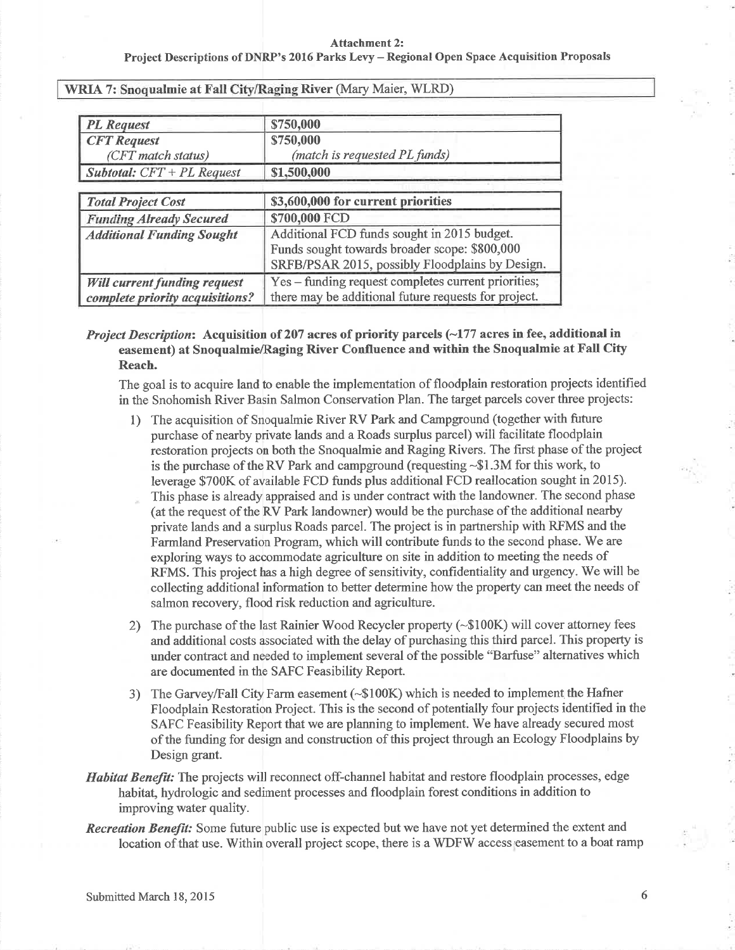| <b>PL</b> Request                   | \$750,000                                            |
|-------------------------------------|------------------------------------------------------|
| <b>CFT</b> Request                  | \$750,000                                            |
| (CFT match status)                  | (match is requested PL funds)                        |
| <b>Subtotal:</b> $CFT + PL$ Request | \$1,500,000                                          |
| <b>Total Project Cost</b>           | \$3,600,000 for current priorities                   |
| <b>Funding Already Secured</b>      | \$700,000 FCD                                        |
| <b>Additional Funding Sought</b>    | Additional FCD funds sought in 2015 budget.          |
|                                     | Funds sought towards broader scope: \$800,000        |
|                                     | SRFB/PSAR 2015, possibly Floodplains by Design.      |
| <b>Will current funding request</b> | Yes – funding request completes current priorities;  |
| complete priority acquisitions?     | there may be additional future requests for project. |

## WRIA 7: Snoqualmie at Fall City/Raging River (Mary Maier, WLRD)

## *Project Description*: Acquisition of 207 acres of priority parcels  $(\sim]177$  acres in fee, additional in easement) at Snoqualmie/Raging River Confluence and within the Snoqualmie at Fatl CityReach.

The goal is to acquire land to enable the implementation of floodplain restoration projects identifiedin the Snohomish River Basin Salmon Conservation Plan. The target parcels cover three projects:

- 1) The acquisition of Snoqualmie River RV Park and Campground (together with future purchase of nearby private lands and a Roads surplus parcel) will facilitate floodplain restoration projects on both the Snoqualmie and Raging Rivers. The first phase of the project is the purchase of the RV Park and campground (requesting -\$1.3M for this work, to leverage \$700K of available FCD funds plus additional FCD reallocation sought in 2015). This phase is already appraised and is under contract with the landowner. The second phase(at the request of the RV Park landowner) would be the purchase of the additional nearby private lands and a surplus Roads parcel. The project is in partnership with RFMS and the Farmland Preservation Program, which will contribute funds to the second phase. We areexploring ways to accommodate agriculture on site in addition to meeting the needs ofRFMS. This project has a high degree of sensitivity, confidentiality and urgency. We will be collecting additional information to better determine how the property can meet the needs of salmon recovery, flood risk reduction and agriculture.
- 2) The purchase of the last Rainier Wood Recycler property (-\$100K) will cover attorney fees and additional costs associated with the delay of purchasing this third parcel. This property is under contract and needed to implement several of the possible "Barfuse" alternatives whichare documented in the SAFC Feasibility Report.
- 3) The Garvey/Fall City Farm easement (~\$100K) which is needed to implement the Hafner Floodplain Restoration Project. This is the second of potentially four projects identified in theSAFC Feasibility Report that we are planning to implement. We have already secured most of the funding for design and construction of this project through an Ecology Floodplains byDesign grant.
- Habitat Benefit: The projects will reconnect off-channel habitat and restore floodplain processes, edge habitat, hydrologic and sediment processes and floodplain forest conditions in addition to improving water quality.
- **Recreation Benefit:** Some future public use is expected but we have not yet determined the extent and location of that use. Within overall project scope, there is a WDFW access easement to a boat ramp